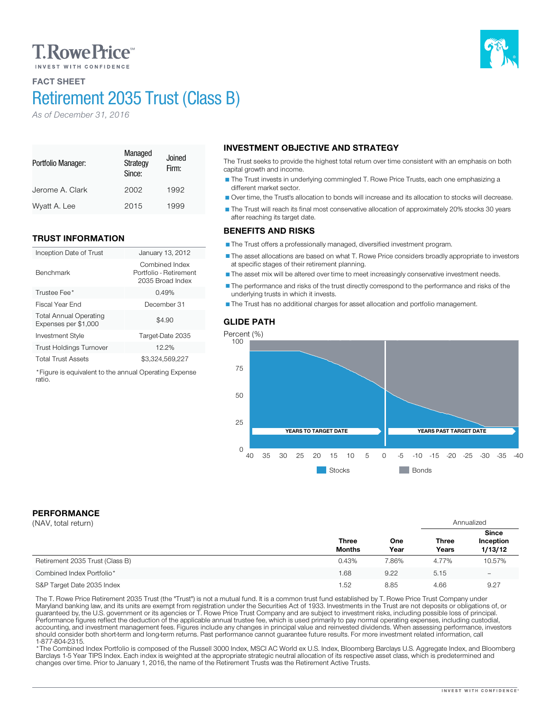# **T. Rowe Price**

# FACT SHEET

# Retirement 2035 Trust (Class B)

*As of December 31, 2016*

#### Portfolio Manager: Managed **Strategy** Since: Joined Firm: Jerome A. Clark 2002 1992 Wyatt A. Lee 2015 1999

# TRUST INFORMATION

| Inception Date of Trust                               | January 13, 2012                                             |
|-------------------------------------------------------|--------------------------------------------------------------|
| <b>Benchmark</b>                                      | Combined Index<br>Portfolio - Retirement<br>2035 Broad Index |
| Trustee Fee*                                          | 0.49%                                                        |
| Fiscal Year End                                       | December 31                                                  |
| <b>Total Annual Operating</b><br>Expenses per \$1,000 | \$4.90                                                       |
| <b>Investment Style</b>                               | Target-Date 2035                                             |
| <b>Trust Holdings Turnover</b>                        | 12.2%                                                        |
| <b>Total Trust Assets</b>                             | \$3,324,569,227                                              |

\*Figure is equivalent to the annual Operating Expense ratio.

# INVESTMENT OBJECTIVE AND STRATEGY

The Trust seeks to provide the highest total return over time consistent with an emphasis on both capital growth and income.

The Trust invests in underlying commingled T. Rowe Price Trusts, each one emphasizing a different market sector.

Over time, the Trust's allocation to bonds will increase and its allocation to stocks will decrease.

The Trust will reach its final most conservative allocation of approximately 20% stocks 30 years after reaching its target date.

## BENEFITS AND RISKS

The Trust offers a professionally managed, diversified investment program.

The asset allocations are based on what T. Rowe Price considers broadly appropriate to investors at specific stages of their retirement planning.

The asset mix will be altered over time to meet increasingly conservative investment needs.

The performance and risks of the trust directly correspond to the performance and risks of the underlying trusts in which it invests.

The Trust has no additional charges for asset allocation and portfolio management.



# PERFORMANCE

| (NAV, total return)             |                               |             | Annualized            |                                      |
|---------------------------------|-------------------------------|-------------|-----------------------|--------------------------------------|
|                                 | <b>Three</b><br><b>Months</b> | One<br>Year | <b>Three</b><br>Years | <b>Since</b><br>Inception<br>1/13/12 |
| Retirement 2035 Trust (Class B) | 0.43%                         | 7.86%       | 4.77%                 | 10.57%                               |
| Combined Index Portfolio*       | 1.68                          | 9.22        | 5.15                  | $\overline{\phantom{0}}$             |
| S&P Target Date 2035 Index      | 1.52                          | 8.85        | 4.66                  | 9.27                                 |

The T. Rowe Price Retirement 2035 Trust (the "Trust") is not a mutual fund. It is a common trust fund established by T. Rowe Price Trust Company under<br>Maryland banking law, and its units are exempt from registration under should consider both short-term and long-term returns. Past performance cannot guarantee future results. For more investment related information, call

\* The Combined Index Portfolio is composed of the Russell 3000 Index, MSCI AC World ex U.S. Index, Bloomberg Barclays U.S. Aggregate Index, and Bloomberg Barclays 1-5 Year TIPS Index. Each index is weighted at the appropriate strategic neutral allocation of its respective asset class, which is predetermined and changes over time. Prior to January 1, 2016, the name of the Retirement Trusts was the Retirement Active Trusts.

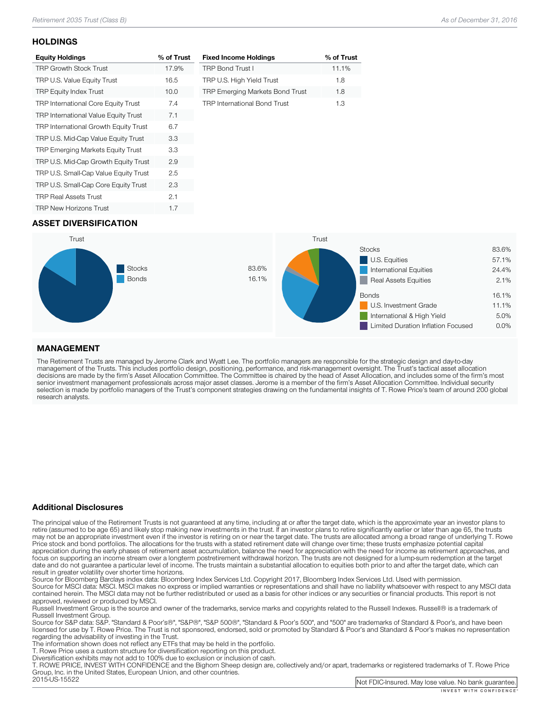### **HOLDINGS**

| <b>Equity Holdings</b>                      | % of Trust |
|---------------------------------------------|------------|
| <b>TRP Growth Stock Trust</b>               | 17.9%      |
| TRP U.S. Value Equity Trust                 | 16.5       |
| <b>TRP Equity Index Trust</b>               | 10.0       |
| TRP International Core Equity Trust         | 7.4        |
| <b>TRP International Value Equity Trust</b> | 7.1        |
| TRP International Growth Equity Trust       | 6.7        |
| TRP U.S. Mid-Cap Value Equity Trust         | 3.3        |
| <b>TRP Emerging Markets Equity Trust</b>    | 3.3        |
| TRP U.S. Mid-Cap Growth Equity Trust        | 2.9        |
| TRP U.S. Small-Cap Value Equity Trust       | 2.5        |
| TRP U.S. Small-Cap Core Equity Trust        | 2.3        |
| <b>TRP Real Assets Trust</b>                | 2.1        |
| <b>TRP New Horizons Trust</b>               | 1.7        |

| <b>Fixed Income Holdings</b>        | % of Trust |
|-------------------------------------|------------|
| <b>TRP Bond Trust I</b>             | 11.1%      |
| TRP U.S. High Yield Trust           | 1.8        |
| TRP Emerging Markets Bond Trust     | 1.8        |
| <b>TRP International Bond Trust</b> | 1 R        |

# ASSET DIVERSIFICATION



## MANAGEMENT

The Retirement Trusts are managed by Jerome Clark and Wyatt Lee. The portfolio managers are responsible for the strategic design and day-to-day<br>management of the Trusts. This includes portfolio design, positioning, perform research analysts.

### Additional Disclosures

The principal value of the Retirement Trusts is not guaranteed at any time, including at or after the target date, which is the approximate year an investor plans to retire (assumed to be age 65) and likely stop making new may not be an appropriate investment even if the investor is retiring on or near the target date. The trusts are allocated among a broad range of underlying T. Rowe<br>Price stock and bond portfolios. The allocations for the focus on supporting an income stream over a longterm postretirement withdrawal horizon. The trusts are not designed for a lump-sum redemption at the target date and do not guarantee a particular level of income. The trusts maintain a substantial allocation to equities both prior to and after the target date, which can result in greater volatility over shorter time horizons.

Source for Bloomberg Barclays index data: Bloomberg Index Services Ltd. Copyright 2017, Bloomberg Index Services Ltd. Used with permission.<br>Source for MSCI data: MSCI. MSCI makes no express or implied warranties or represe

approved, reviewed or produced by MSCI.<br>Russell Investment Group is the source and owner of the trademarks, service marks and copyrights related to the Russell Indexes. Russell® is a trademark of<br>Russell Investment Group.

Russell Investment Group. Source Group and Group", "Same Standard Group", "Standard Group", and "500" are trademarks of Standard & Poor's, and have been licensed for use by T. Rowe Price. The Trust is not sponsored, endorsed, sold or promoted by Standard & Poor's and Standard & Poor's makes no representation<br>regarding the advisability of investing in the Trust.

The information shown does not reflect any ETFs that may be held in the portfolio.<br>T. Rowe Price uses a custom structure for diversification reporting on this product.<br>Diversification exhibits may not add to 100% due to ex